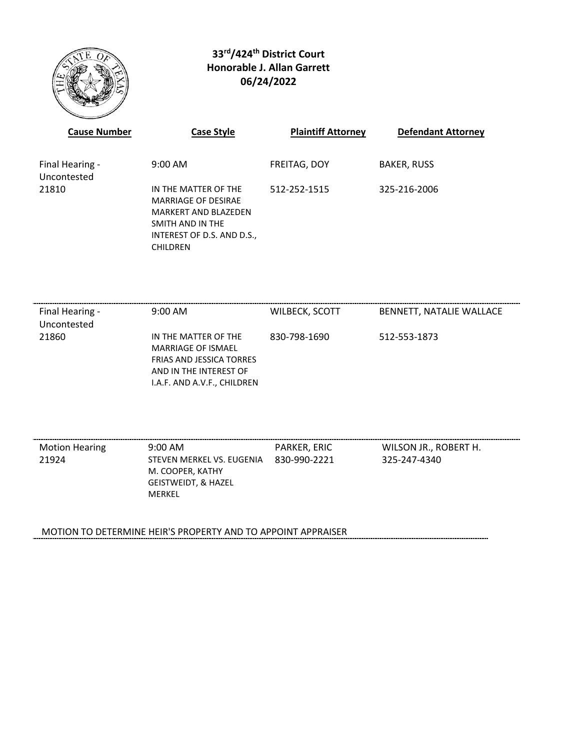

# **33rd/424th District Court Honorable J. Allan Garrett 06/24/2022**

| <b>Cause Number</b>            | <b>Case Style</b>                                                                                                                               | <b>Plaintiff Attorney</b> | <b>Defendant Attorney</b> |
|--------------------------------|-------------------------------------------------------------------------------------------------------------------------------------------------|---------------------------|---------------------------|
| Final Hearing -<br>Uncontested | $9:00 \text{ AM}$                                                                                                                               | FREITAG, DOY              | <b>BAKER, RUSS</b>        |
| 21810                          | IN THE MATTER OF THE<br>MARRIAGE OF DESIRAE<br><b>MARKERT AND BLAZEDEN</b><br>SMITH AND IN THE<br>INTEREST OF D.S. AND D.S.,<br><b>CHILDREN</b> | 512-252-1515              | 325-216-2006              |

| Final Hearing -<br>Uncontested | $9:00 \text{ AM}$                                                                                                                      | WILBECK, SCOTT | BENNETT, NATALIE WALLACE |
|--------------------------------|----------------------------------------------------------------------------------------------------------------------------------------|----------------|--------------------------|
| 21860                          | IN THE MATTER OF THE<br>MARRIAGE OF ISMAEL<br><b>FRIAS AND JESSICA TORRES</b><br>AND IN THE INTEREST OF<br>I.A.F. AND A.V.F., CHILDREN | 830-798-1690   | 512-553-1873             |

| <b>Motion Hearing</b> | $9:00 \text{ AM}$                             | PARKER. ERIC | WILSON JR., ROBERT H. |
|-----------------------|-----------------------------------------------|--------------|-----------------------|
| 21924                 | STEVEN MERKEL VS. EUGENIA<br>M. COOPER, KATHY | 830-990-2221 | 325-247-4340          |
|                       | <b>GEISTWEIDT, &amp; HAZEL</b>                |              |                       |
|                       | MERKEL                                        |              |                       |
|                       |                                               |              |                       |

MOTION TO DETERMINE HEIR'S PROPERTY AND TO APPOINT APPRAISER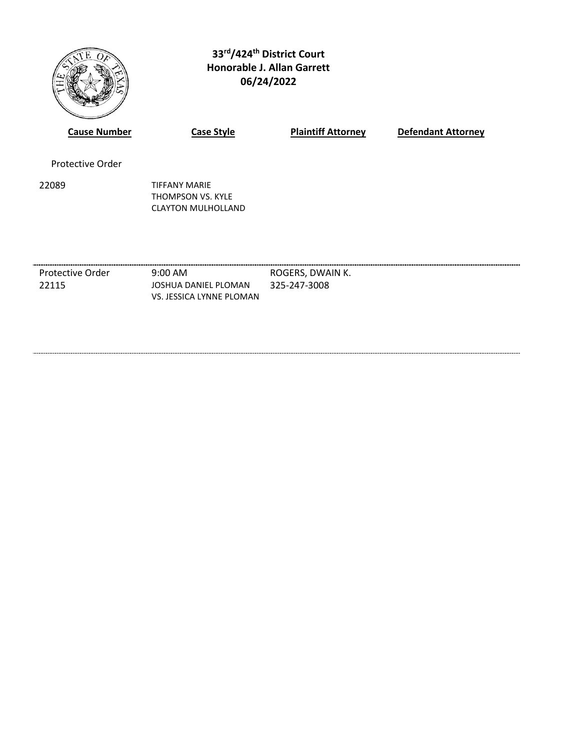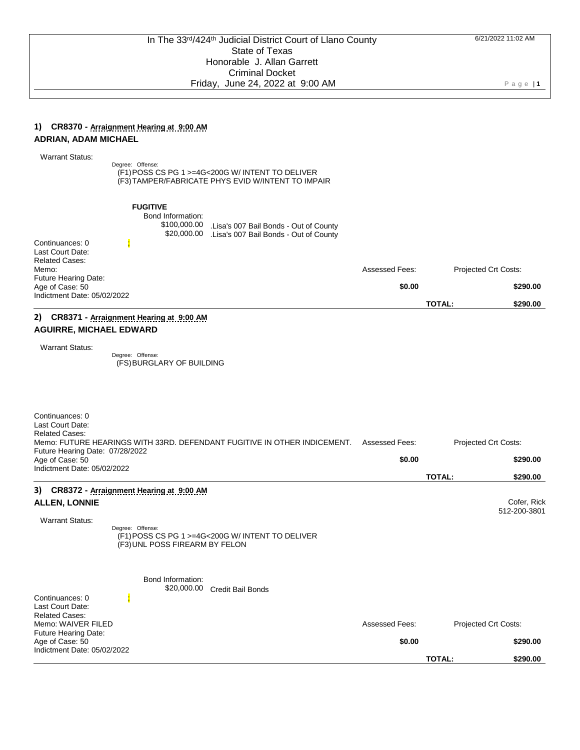#### **1) CR8370 - Arraignment Hearing at 9:00 AM ADRIAN, ADAM MICHAEL**

| <b>Warrant Status:</b> |  |
|------------------------|--|
|------------------------|--|

Degree: Offense: (F1) POSS CS PG 1 >=4G<200G W/ INTENT TO DELIVER (F3) TAMPER/FABRICATE PHYS EVID W/INTENT TO IMPAIR

| 2) CR8371 - Arraignment Hearing at 9:00 AM                                    |                                                      |                                                                                             |                       |               |                             |
|-------------------------------------------------------------------------------|------------------------------------------------------|---------------------------------------------------------------------------------------------|-----------------------|---------------|-----------------------------|
|                                                                               |                                                      |                                                                                             |                       | <b>TOTAL:</b> | \$290.00                    |
| <b>Future Hearing Date:</b><br>Age of Case: 50<br>Indictment Date: 05/02/2022 |                                                      |                                                                                             | \$0.00                |               | \$290.00                    |
| Last Court Date:<br><b>Related Cases:</b><br>Memo:                            |                                                      |                                                                                             | <b>Assessed Fees:</b> |               | <b>Projected Crt Costs:</b> |
| Continuances: 0                                                               | <b>FUGITIVE</b><br>Bond Information:<br>\$100,000.00 | Lisa's 007 Bail Bonds - Out of County<br>\$20,000.00 .Lisa's 007 Bail Bonds - Out of County |                       |               |                             |

Degree: Offense: (FS) BURGLARY OF BUILDING

| Continuances: 0<br>Last Court Date:<br><b>Related Cases:</b><br>Future Hearing Date: 07/28/2022 | Memo: FUTURE HEARINGS WITH 33RD. DEFENDANT FUGITIVE IN OTHER INDICEMENT.           | <b>Assessed Fees:</b> | Projected Crt Costs:        |
|-------------------------------------------------------------------------------------------------|------------------------------------------------------------------------------------|-----------------------|-----------------------------|
| Age of Case: 50<br>Indictment Date: 05/02/2022                                                  |                                                                                    | \$0.00                | \$290.00                    |
|                                                                                                 |                                                                                    |                       | <b>TOTAL:</b><br>\$290.00   |
| 3)<br>CR8372 - Arraignment Hearing at 9:00 AM                                                   |                                                                                    |                       |                             |
| <b>ALLEN, LONNIE</b>                                                                            |                                                                                    |                       | Cofer, Rick<br>512-200-3801 |
| <b>Warrant Status:</b><br>Degree: Offense:                                                      | (F1) POSS CS PG 1 >=4G<200G W/ INTENT TO DELIVER<br>(F3) UNL POSS FIREARM BY FELON |                       |                             |
| Bond Information:                                                                               | \$20,000.00<br><b>Credit Bail Bonds</b>                                            |                       |                             |
| Continuances: 0<br>Last Court Date:<br><b>Related Cases:</b>                                    |                                                                                    |                       |                             |
| Memo: WAIVER FILED<br>Future Hearing Date:                                                      |                                                                                    | Assessed Fees:        | Projected Crt Costs:        |
| Age of Case: 50<br>Indictment Date: 05/02/2022                                                  |                                                                                    | \$0.00                | \$290.00                    |
|                                                                                                 |                                                                                    |                       | <b>TOTAL:</b><br>\$290.00   |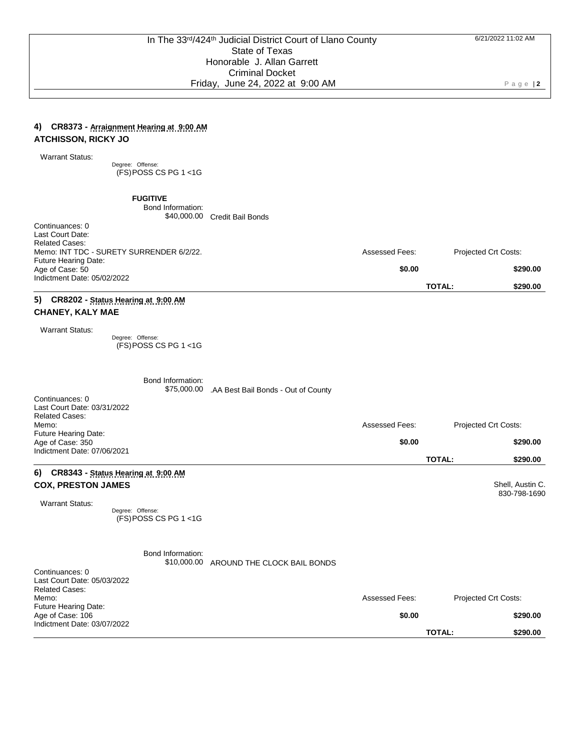Assessed Fees: Projected Crt Costs:

**\$0.00 \$290.00**

**TOTAL: \$290.00**

### **4) CR8373 - Arraignment Hearing at 9:00 AM ATCHISSON, RICKY JO**

Warrant Status:

Degree: Offense: (FS) POSS CS PG 1 <1G

**FUGITIVE**

Bond Information: \$40,000.00 Credit Bail Bonds

Continuances: 0 Last Court Date: Related Cases: Memo: INT TDC - SURETY SURRENDER 6/2/22. Future Hearing Date: Age of Case: 50 Indictment Date: 05/02/2022

## **5) CR8202 - Status Hearing at 9:00 AM CHANEY, KALY MAE**

Warrant Status:

Degree: Offense: (FS) POSS CS PG 1 <1G

|                                                                                                                                                             | Bond Information:<br>\$75,000.00 | .AA Best Bail Bonds - Out of County |                                 |                                                               |
|-------------------------------------------------------------------------------------------------------------------------------------------------------------|----------------------------------|-------------------------------------|---------------------------------|---------------------------------------------------------------|
| Continuances: 0<br>Last Court Date: 03/31/2022<br><b>Related Cases:</b><br>Memo:                                                                            |                                  |                                     | <b>Assessed Fees:</b>           | Projected Crt Costs:                                          |
| Future Hearing Date:<br>Age of Case: 350                                                                                                                    |                                  |                                     | \$0.00                          | \$290.00                                                      |
| Indictment Date: 07/06/2021                                                                                                                                 |                                  |                                     |                                 | <b>TOTAL:</b><br>\$290.00                                     |
| CR8343 - Status Hearing at 9:00 AM<br>6)<br><b>COX, PRESTON JAMES</b><br><b>Warrant Status:</b><br>Degree: Offense:                                         | (FS) POSS CS PG 1 <1G            |                                     |                                 | Shell, Austin C.<br>830-798-1690                              |
| Continuances: 0<br>Last Court Date: 05/03/2022<br><b>Related Cases:</b><br>Memo:<br>Future Hearing Date:<br>Age of Case: 106<br>Indictment Date: 03/07/2022 | Bond Information:<br>\$10,000.00 | AROUND THE CLOCK BAIL BONDS         | <b>Assessed Fees:</b><br>\$0.00 | Projected Crt Costs:<br>\$290.00<br><b>TOTAL:</b><br>\$290.00 |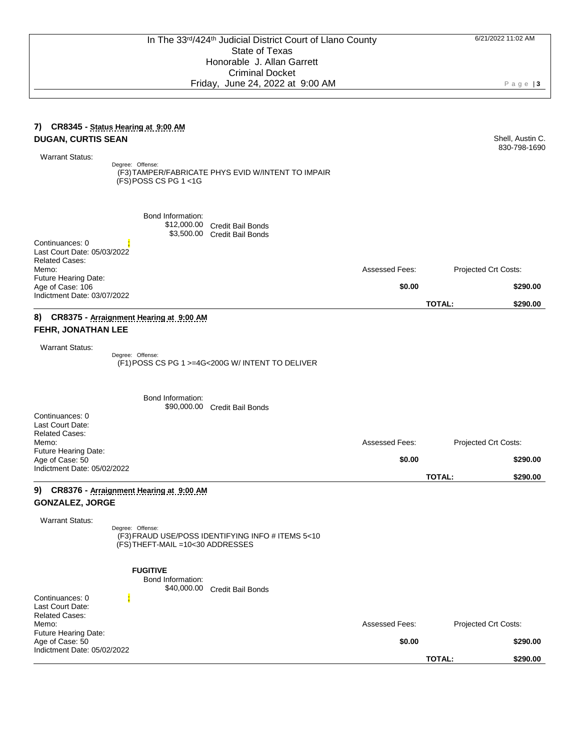Shell, Austin C. 830-798-1690

### **7) CR8345 - Status Hearing at 9:00 AM DUGAN, CURTIS SEAN**

Warrant Status:

Degree: Offense: (F3) TAMPER/FABRICATE PHYS EVID W/INTENT TO IMPAIR (FS) POSS CS PG 1 <1G

Bond Information: \$12,000.00 Credit Bail Bonds \$3,500.00 Credit Bail Bonds Continuances: 0 Last Court Date: 05/03/2022 Related Cases: Memo: Future Hearing Date: Assessed Fees: Projected Crt Costs: Age of Case: 106 Indictment Date: 03/07/2022 **\$0.00 \$290.00 TOTAL: \$290.00 8) CR8375 - Arraignment Hearing at 9:00 AM FEHR, JONATHAN LEE** Warrant Status: Degree: Offense: (F1) POSS CS PG 1 >=4G<200G W/ INTENT TO DELIVER

Bond Information: \$90,000.00 Credit Bail Bonds Continuances: 0 Last Court Date: Related Cases: Memo: Future Hearing Date: Assessed Fees: Projected Crt Costs: Age of Case: 50 Indictment Date: 05/02/2022 **\$0.00 \$290.00 TOTAL: \$290.00**

## **9) CR8376 - Arraignment Hearing at 9:00 AM GONZALEZ, JORGE**

Warrant Status:

Degree: Offense: (F3) FRAUD USE/POSS IDENTIFYING INFO # ITEMS 5<10 (FS) THEFT-MAIL =10<30 ADDRESSES

**FUGITIVE**

Bond Information:

\$40,000.00 Credit Bail Bonds

| Continuances: 0             |                |                             |
|-----------------------------|----------------|-----------------------------|
| Last Court Date:            |                |                             |
| <b>Related Cases:</b>       |                |                             |
| Memo:                       | Assessed Fees: | <b>Projected Crt Costs:</b> |
| <b>Future Hearing Date:</b> |                |                             |
| Age of Case: 50             | \$0.00         | \$290.00                    |
| Indictment Date: 05/02/2022 |                |                             |
|                             |                | \$290.00<br>TOTAL:          |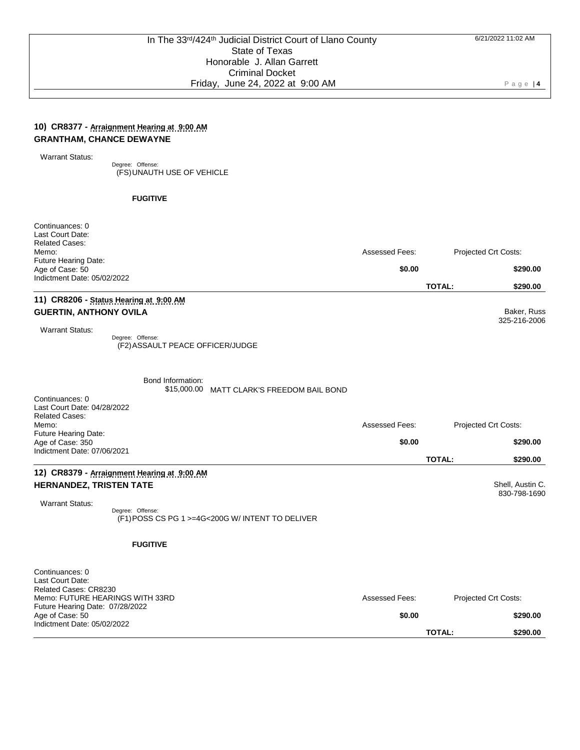### **10) CR8377 - Arraignment Hearing at 9:00 AM GRANTHAM, CHANCE DEWAYNE**

Warrant Status:

Degree: Offense: (FS) UNAUTH USE OF VEHICLE

#### **FUGITIVE**

| Continuances: 0<br>Last Court Date:                                                                                                |                       |               |                                  |
|------------------------------------------------------------------------------------------------------------------------------------|-----------------------|---------------|----------------------------------|
| <b>Related Cases:</b><br>Memo:                                                                                                     | Assessed Fees:        |               | Projected Crt Costs:             |
| Future Hearing Date:<br>Age of Case: 50                                                                                            | \$0.00                |               | \$290.00                         |
| Indictment Date: 05/02/2022                                                                                                        |                       | <b>TOTAL:</b> | \$290.00                         |
| 11) CR8206 - Status Hearing at 9:00 AM<br><b>GUERTIN, ANTHONY OVILA</b>                                                            |                       |               | Baker, Russ                      |
| <b>Warrant Status:</b><br>Degree: Offense:<br>(F2) ASSAULT PEACE OFFICER/JUDGE                                                     |                       |               | 325-216-2006                     |
| Bond Information:<br>\$15,000.00<br>MATT CLARK'S FREEDOM BAIL BOND                                                                 |                       |               |                                  |
| Continuances: 0<br>Last Court Date: 04/28/2022<br><b>Related Cases:</b><br>Memo:                                                   | Assessed Fees:        |               | Projected Crt Costs:             |
| Future Hearing Date:                                                                                                               |                       |               |                                  |
| Age of Case: 350<br>Indictment Date: 07/06/2021                                                                                    | \$0.00                | <b>TOTAL:</b> | \$290.00<br>\$290.00             |
| 12) CR8379 - Arraignment Hearing at 9:00 AM<br>HERNANDEZ, TRISTEN TATE                                                             |                       |               | Shell, Austin C.<br>830-798-1690 |
| <b>Warrant Status:</b><br>Degree: Offense:<br>(F1) POSS CS PG 1 >=4G<200G W/ INTENT TO DELIVER                                     |                       |               |                                  |
| <b>FUGITIVE</b>                                                                                                                    |                       |               |                                  |
| Continuances: 0<br>Last Court Date:<br>Related Cases: CR8230<br>Memo: FUTURE HEARINGS WITH 33RD<br>Future Hearing Date: 07/28/2022 | <b>Assessed Fees:</b> |               | Projected Crt Costs:             |
| Age of Case: 50<br>Indictment Date: 05/02/2022                                                                                     | \$0.00                | <b>TOTAL:</b> | \$290.00<br>\$290.00             |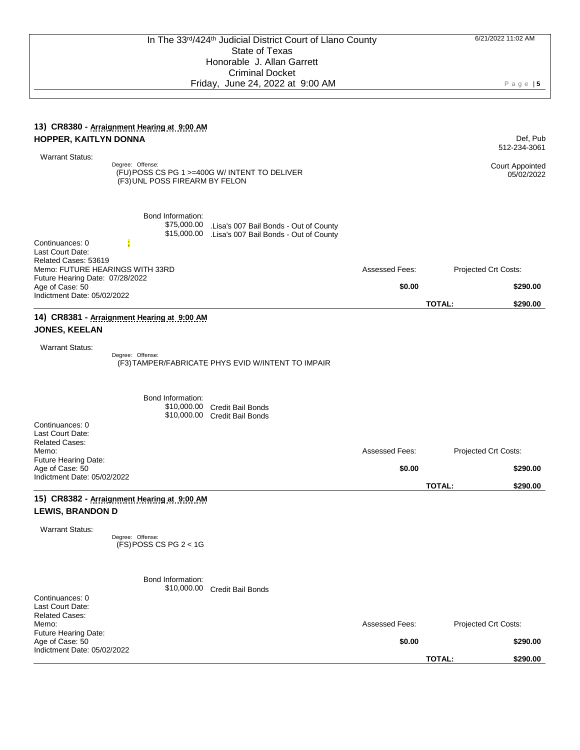#### **13) CR8380 - Arraignment Hearing at 9:00 AM HOPPER, KAITLYN DONNA** Warrant Status: Def, Pub 512-234-3061 Degree: Offense: (FU) POSS CS PG 1 >=400G W/ INTENT TO DELIVER (F3) UNL POSS FIREARM BY FELON Court Appointed 05/02/2022 Bond Information: \$75,000.00 .Lisa's 007 Bail Bonds - Out of County \$15,000.00 .Lisa's 007 Bail Bonds - Out of County Continuances: 0 Last Court Date: Related Cases: 53619 Memo: FUTURE HEARINGS WITH 33RD Future Hearing Date: 07/28/2022 Assessed Fees: Projected Crt Costs: Age of Case: 50 Indictment Date: 05/02/2022 **\$0.00 \$290.00 TOTAL: \$290.00 14) CR8381 - Arraignment Hearing at 9:00 AM JONES, KEELAN** Warrant Status: Degree: Offense: (F3) TAMPER/FABRICATE PHYS EVID W/INTENT TO IMPAIR Bond Information: \$10,000.00 \$10,000.00 Credit Bail Bonds Credit Bail Bonds Continuances: 0 Last Court Date: Related Cases: Memo: Future Hearing Date: Assessed Fees: Projected Crt Costs: Age of Case: 50 Indictment Date: 05/02/2022 **\$0.00 \$290.00 TOTAL: \$290.00 15) CR8382 - Arraignment Hearing at 9:00 AM LEWIS, BRANDON D** Warrant Status: Degree: Offense: (FS) POSS CS PG 2 < 1G Bond Information: \$10,000.00 Credit Bail Bonds Continuances: 0 Last Court Date: Related Cases: Memo: Future Hearing Date: Assessed Fees: Projected Crt Costs: Age of Case: 50 Indictment Date: 05/02/2022 **\$0.00 \$290.00 TOTAL: \$290.00**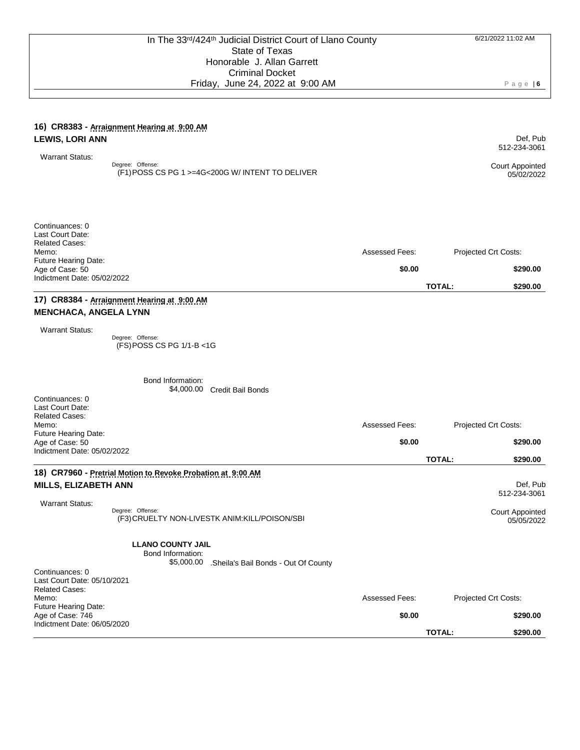#### **16) CR8383 - Arraignment Hearing at 9:00 AM LEWIS, LORI ANN**

 Warrant Status: Degree: Offense: (F1) POSS CS PG 1 >=4G<200G W/ INTENT TO DELIVER Court Appointed

| Last Court Date:            |                       |                             |
|-----------------------------|-----------------------|-----------------------------|
| <b>Related Cases:</b>       |                       |                             |
| Memo:                       | <b>Assessed Fees:</b> | <b>Projected Crt Costs:</b> |
| <b>Future Hearing Date:</b> |                       |                             |
| Age of Case: 50             | \$0.00                | \$290.00                    |
| Indictment Date: 05/02/2022 |                       |                             |
|                             |                       | \$290.00<br><b>TOTAL:</b>   |

### **17) CR8384 - Arraignment Hearing at 9:00 AM MENCHACA, ANGELA LYNN**

Warrant Status:

Continuances: 0

Degree: Offense: (FS) POSS CS PG 1/1-B <1G

|                                                                                                                 | Bond Information:<br>\$4,000.00                                                 | <b>Credit Bail Bonds</b>                       |                       |                                                                  |
|-----------------------------------------------------------------------------------------------------------------|---------------------------------------------------------------------------------|------------------------------------------------|-----------------------|------------------------------------------------------------------|
| Continuances: 0<br>Last Court Date:<br><b>Related Cases:</b><br>Memo:                                           |                                                                                 |                                                | <b>Assessed Fees:</b> | Projected Crt Costs:                                             |
| <b>Future Hearing Date:</b><br>Age of Case: 50<br>Indictment Date: 05/02/2022                                   |                                                                                 |                                                | \$0.00                | \$290.00                                                         |
|                                                                                                                 |                                                                                 |                                                |                       | <b>TOTAL:</b><br>\$290.00                                        |
| <b>MILLS, ELIZABETH ANN</b><br><b>Warrant Status:</b>                                                           | 18) CR7960 - Pretrial Motion to Revoke Probation at 9:00 AM<br>Degree: Offense: | (F3) CRUELTY NON-LIVESTK ANIM: KILL/POISON/SBI |                       | Def, Pub<br>512-234-3061<br><b>Court Appointed</b><br>05/05/2022 |
|                                                                                                                 | <b>LLANO COUNTY JAIL</b><br>Bond Information:<br>\$5,000.00                     | .Sheila's Bail Bonds - Out Of County           |                       |                                                                  |
| Continuances: 0<br>Last Court Date: 05/10/2021<br><b>Related Cases:</b><br>Memo:<br><b>Future Hearing Date:</b> |                                                                                 |                                                | <b>Assessed Fees:</b> | Projected Crt Costs:                                             |
| Age of Case: 746<br>Indictment Date: 06/05/2020                                                                 |                                                                                 |                                                | \$0.00                | \$290.00                                                         |

**TOTAL: \$290.00**

Def, Pub 512-234-3061

05/02/2022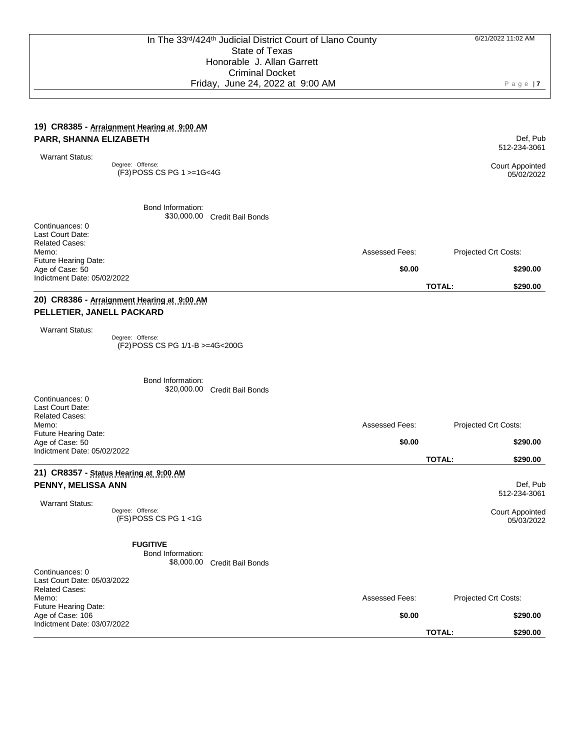#### **19) CR8385 - Arraignment Hearing at 9:00 AM PARR, SHANNA ELIZABETH**

Warrant Status:

Degree: Offense: (F3) POSS CS PG 1 >=1G<4G

> Bond Information: \$30,000.00 Credit Bail Bonds

Continuances: 0 Last Court Date: Related Cases: Memo: Future Hearing Date: Assessed Fees: Projected Crt Costs: Age of Case: 50 Indictment Date: 05/02/2022 **\$0.00 \$290.00 TOTAL: \$290.00**

### **20) CR8386 - Arraignment Hearing at 9:00 AM PELLETIER, JANELL PACKARD**

Warrant Status:

Degree: Offense: (F2) POSS CS PG 1/1-B >=4G<200G

Bond Information: \$20,000.00 Credit Bail Bonds Continuances: 0 Last Court Date: Related Cases: Memo: Future Hearing Date: Assessed Fees: Projected Crt Costs: Age of Case: 50 Indictment Date: 05/02/2022 **\$0.00 \$290.00 TOTAL: \$290.00 21) CR8357 - Status Hearing at 9:00 AM PENNY, MELISSA ANN** Warrant Status: Def, Pub 512-234-3061 Degree: Offense: (FS) POSS CS PG 1 <1G **FUGITIVE** Court Appointed 05/03/2022 Bond Information: \$8,000.00 Credit Bail Bonds Continuances: 0 Last Court Date: 05/03/2022 Related Cases: Memo: Future Hearing Date: Assessed Fees: Projected Crt Costs:

Age of Case: 106 Indictment Date: 03/07/2022 **\$0.00 \$290.00 TOTAL: \$290.00**

P a g e | **7**

512-234-3061 Court Appointed

Def, Pub

05/02/2022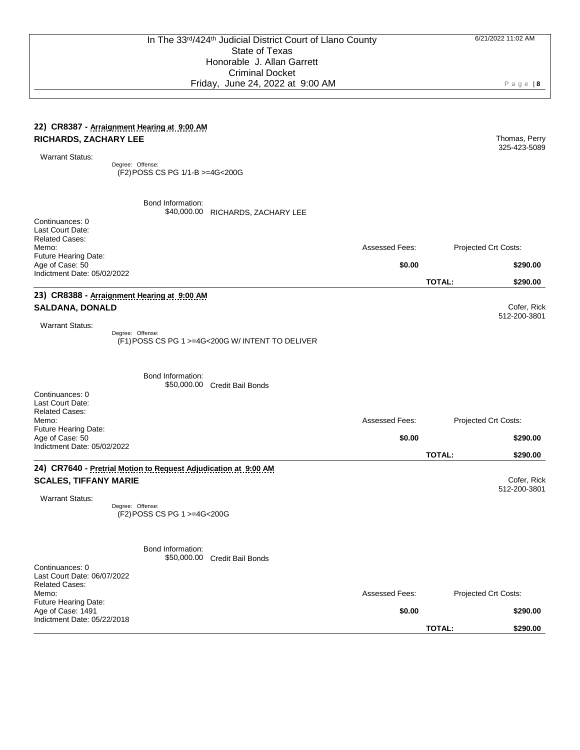### **22) CR8387 - Arraignment Hearing at 9:00 AM RICHARDS, ZACHARY LEE**

Warrant Status:

Degree: Offense: (F2) POSS CS PG 1/1-B >=4G<200G

> Bond Information: \$40,000.00 RICHARDS, ZACHARY LEE

| Continuances: 0                                                         |                                                                 |                                                  |                       |               |                      |
|-------------------------------------------------------------------------|-----------------------------------------------------------------|--------------------------------------------------|-----------------------|---------------|----------------------|
| Last Court Date:<br><b>Related Cases:</b>                               |                                                                 |                                                  |                       |               |                      |
| Memo:<br>Future Hearing Date:                                           |                                                                 |                                                  | <b>Assessed Fees:</b> |               | Projected Crt Costs: |
| Age of Case: 50                                                         |                                                                 |                                                  | \$0.00                |               | \$290.00             |
| Indictment Date: 05/02/2022                                             |                                                                 |                                                  |                       | <b>TOTAL:</b> | \$290.00             |
|                                                                         | 23) CR8388 - Arraignment Hearing at 9:00 AM                     |                                                  |                       |               |                      |
| <b>SALDANA, DONALD</b>                                                  |                                                                 |                                                  |                       |               | Cofer, Rick          |
| <b>Warrant Status:</b>                                                  |                                                                 |                                                  |                       |               | 512-200-3801         |
|                                                                         | Degree: Offense:                                                | (F1) POSS CS PG 1 >=4G<200G W/ INTENT TO DELIVER |                       |               |                      |
|                                                                         | Bond Information:                                               |                                                  |                       |               |                      |
| Continuances: 0<br>Last Court Date:                                     |                                                                 | \$50,000.00 Credit Bail Bonds                    |                       |               |                      |
| <b>Related Cases:</b><br>Memo:                                          |                                                                 |                                                  | Assessed Fees:        |               | Projected Crt Costs: |
| Future Hearing Date:<br>Age of Case: 50                                 |                                                                 |                                                  | \$0.00                |               | \$290.00             |
| Indictment Date: 05/02/2022                                             |                                                                 |                                                  |                       | <b>TOTAL:</b> |                      |
|                                                                         | 24) CR7640 - Pretrial Motion to Request Adjudication at 9:00 AM |                                                  |                       |               | \$290.00             |
| <b>SCALES, TIFFANY MARIE</b>                                            |                                                                 |                                                  |                       |               | Cofer, Rick          |
|                                                                         |                                                                 |                                                  |                       |               | 512-200-3801         |
| <b>Warrant Status:</b>                                                  | Degree: Offense:<br>(F2) POSS CS PG 1 >=4G<200G                 |                                                  |                       |               |                      |
|                                                                         | Bond Information:                                               | \$50,000.00 Credit Bail Bonds                    |                       |               |                      |
| Continuances: 0<br>Last Court Date: 06/07/2022<br><b>Related Cases:</b> |                                                                 |                                                  |                       |               |                      |
| Memo:                                                                   |                                                                 |                                                  | Assessed Fees:        |               | Projected Crt Costs: |
| <b>Future Hearing Date:</b><br>Age of Case: 1491                        |                                                                 |                                                  | \$0.00                |               | \$290.00             |
| Indictment Date: 05/22/2018                                             |                                                                 |                                                  |                       | <b>TOTAL:</b> |                      |

6/21/2022 11:02 AM

P a g e | **8**

325-423-5089

Thomas, Perry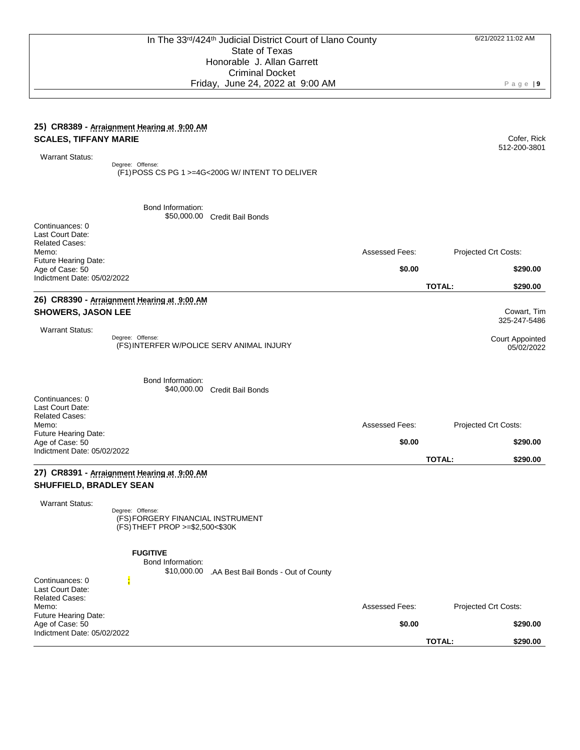#### **25) CR8389 - Arraignment Hearing at 9:00 AM SCALES, TIFFANY MARIE**

Warrant Status:

Degree: Offense: (F1) POSS CS PG 1 >=4G<200G W/ INTENT TO DELIVER

\$50,000.00 Credit Bail Bonds

Bond Information:

Continuances: 0 Last Court Date: Related Cases: Memo: Future Hearing Date: Age of Case: 50 Indictment Date: 05/02/2022

### **26) CR8390 - Arraignment Hearing at 9:00 AM SHOWERS, JASON LEE**

 Warrant Status: Degree: Offense: (FS) INTERFER W/POLICE SERV ANIMAL INJURY Court Appointed 05/02/2022

Bond Information: \$40,000.00 Credit Bail Bonds Continuances: 0 Last Court Date: Related Cases: Memo: Future Hearing Date: Assessed Fees: Projected Crt Costs: Age of Case: 50 Indictment Date: 05/02/2022 **\$0.00 \$290.00 TOTAL: \$290.00**

### **27) CR8391 - Arraignment Hearing at 9:00 AM SHUFFIELD, BRADLEY SEAN**

Warrant Status:

Degree: Offense: (FS) FORGERY FINANCIAL INSTRUMENT (FS) THEFT PROP >=\$2,500<\$30K

#### **FUGITIVE**

Bond Information:

\$10,000.00 .AA Best Bail Bonds - Out of County

| Indictment Date: 05/02/2022 |
|-----------------------------|
|                             |

Cofer, Rick 512-200-3801

Cowart, Tim 325-247-5486

Assessed Fees: Projected Crt Costs:

Assessed Fees: Projected Crt Costs:

**\$0.00 \$290.00**

**TOTAL: \$290.00**

**\$0.00 \$290.00**

**TOTAL: \$290.00**

P a g e | **9**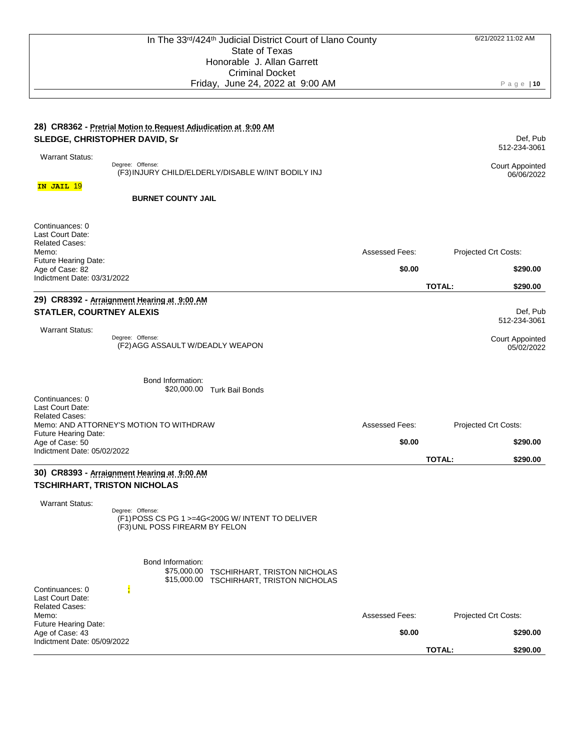Def, Pub 512-234-3061

## **28) CR8362 - Pretrial Motion to Request Adjudication at 9:00 AM SLEDGE, CHRISTOPHER DAVID, Sr**

| <b>Warrant Status:</b>                  |                                                                                    |                |               | JIL LUT JUU I                        |
|-----------------------------------------|------------------------------------------------------------------------------------|----------------|---------------|--------------------------------------|
|                                         | Degree: Offense:<br>(F3) INJURY CHILD/ELDERLY/DISABLE W/INT BODILY INJ             |                |               | <b>Court Appointed</b><br>06/06/2022 |
| IN JAIL 19                              |                                                                                    |                |               |                                      |
|                                         | <b>BURNET COUNTY JAIL</b>                                                          |                |               |                                      |
| Continuances: 0<br>Last Court Date:     |                                                                                    |                |               |                                      |
| <b>Related Cases:</b><br>Memo:          |                                                                                    | Assessed Fees: |               | Projected Crt Costs:                 |
| Future Hearing Date:<br>Age of Case: 82 |                                                                                    | \$0.00         |               | \$290.00                             |
| Indictment Date: 03/31/2022             |                                                                                    |                | <b>TOTAL:</b> | \$290.00                             |
|                                         | 29) CR8392 - Arraignment Hearing at 9:00 AM                                        |                |               |                                      |
| <b>STATLER, COURTNEY ALEXIS</b>         |                                                                                    |                |               | Def, Pub<br>512-234-3061             |
| <b>Warrant Status:</b>                  | Degree: Offense:                                                                   |                |               |                                      |
|                                         | (F2) AGG ASSAULT W/DEADLY WEAPON                                                   |                |               | Court Appointed<br>05/02/2022        |
|                                         | Bond Information:<br>\$20,000.00 Turk Bail Bonds                                   |                |               |                                      |
| Continuances: 0                         |                                                                                    |                |               |                                      |
| Last Court Date:                        |                                                                                    |                |               |                                      |
| <b>Related Cases:</b>                   | Memo: AND ATTORNEY'S MOTION TO WITHDRAW                                            | Assessed Fees: |               | Projected Crt Costs:                 |
| Future Hearing Date:<br>Age of Case: 50 |                                                                                    | \$0.00         |               | \$290.00                             |
| Indictment Date: 05/02/2022             |                                                                                    |                |               |                                      |
|                                         |                                                                                    |                | <b>TOTAL:</b> | \$290.00                             |
|                                         | 30) CR8393 - Arraignment Hearing at 9:00 AM<br><b>TSCHIRHART, TRISTON NICHOLAS</b> |                |               |                                      |
| <b>Warrant Status:</b>                  |                                                                                    |                |               |                                      |
|                                         | Degree: Offense:<br>(F1) POSS CS PG 1 >=4G<200G W/ INTENT TO DELIVER               |                |               |                                      |
|                                         | (F3) UNL POSS FIREARM BY FELON                                                     |                |               |                                      |

| <b>Related Cases:</b><br>Memo:<br><b>Future Hearing Date:</b> |  | <b>Assessed Fees:</b> | Projected Crt Costs:      |
|---------------------------------------------------------------|--|-----------------------|---------------------------|
| Age of Case: 43<br>Indictment Date: 05/09/2022                |  | \$0.00                | \$290.00                  |
|                                                               |  |                       | <b>TOTAL:</b><br>\$290.00 |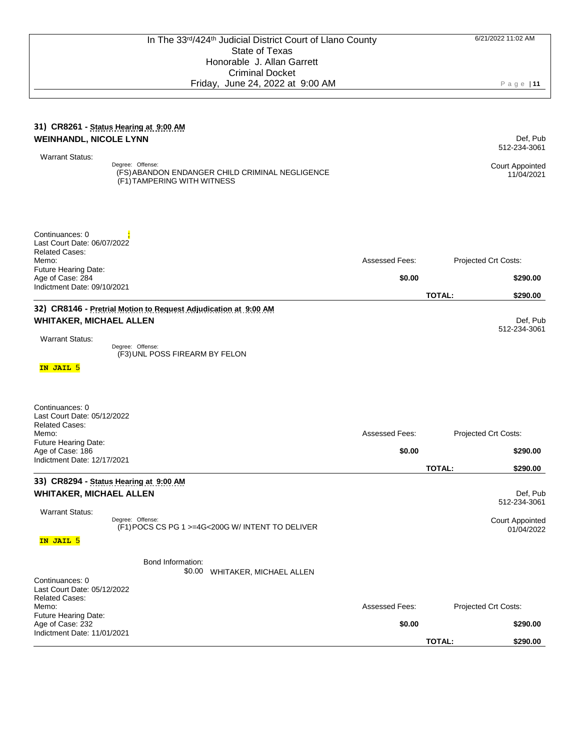#### **31) CR8261 - Status Hearing at 9:00 AM WEINHANDL, NICOLE LYNN** Warrant Status: Def, Pub 512-234-3061 Degree: Offense: (FS) ABANDON ENDANGER CHILD CRIMINAL NEGLIGENCE (F1) TAMPERING WITH WITNESS Court Appointed 11/04/2021 Continuances: 0 Last Court Date: 06/07/2022 Related Cases: Memo: Future Hearing Date: Assessed Fees: Projected Crt Costs: Age of Case: 284 Indictment Date: 09/10/2021 **\$0.00 \$290.00 TOTAL: \$290.00 32) CR8146 - Pretrial Motion to Request Adjudication at 9:00 AM WHITAKER, MICHAEL ALLEN** Warrant Status: Def, Pub 512-234-3061 **IN JAIL** 5 Degree: Offense: (F3) UNL POSS FIREARM BY FELON Continuances: 0 Last Court Date: 05/12/2022 Related Cases: Memo<sup>.</sup> Future Hearing Date: Assessed Fees: Projected Crt Costs: Age of Case: 186 Indictment Date: 12/17/2021 **\$0.00 \$290.00 TOTAL: \$290.00 33) CR8294 - Status Hearing at 9:00 AM WHITAKER, MICHAEL ALLEN** Warrant Status: Def, Pub 512-234-3061 **IN JAIL** 5 Degree: Offense: (F1) POCS CS PG 1 >=4G<200G W/ INTENT TO DELIVER Court Appointed 01/04/2022 Bond Information: \$0.00 WHITAKER, MICHAEL ALLEN Continuances: 0 Last Court Date: 05/12/2022 Related Cases: Memo: Future Hearing Date: Assessed Fees: Projected Crt Costs: Age of Case: 232 Indictment Date: 11/01/2021 **\$0.00 \$290.00**

**TOTAL: \$290.00**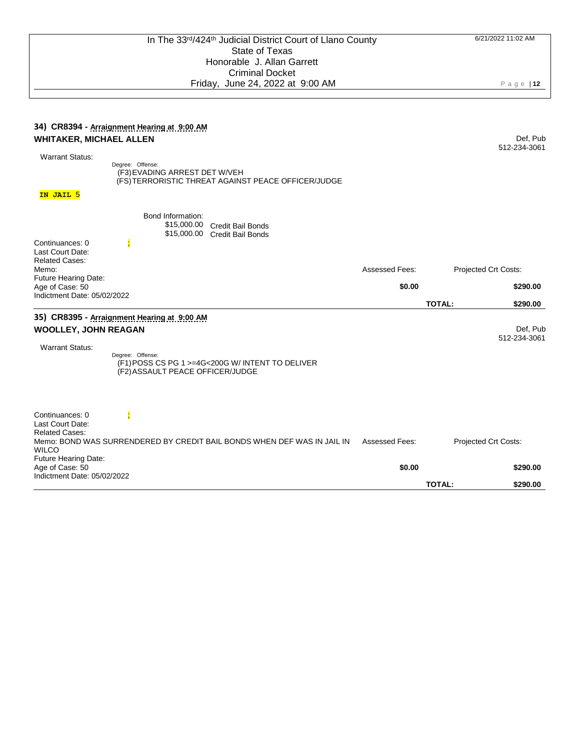| 34) CR8394 - Arraignment Hearing at 9:00 AM<br><b>WHITAKER, MICHAEL ALLEN</b><br><b>Warrant Status:</b><br>Degree: Offense:<br>(F3) EVADING ARREST DET W/VEH                    |                       | Def, Pub<br>512-234-3061  |
|---------------------------------------------------------------------------------------------------------------------------------------------------------------------------------|-----------------------|---------------------------|
| (FS) TERRORISTIC THREAT AGAINST PEACE OFFICER/JUDGE                                                                                                                             |                       |                           |
| IN JAIL 5                                                                                                                                                                       |                       |                           |
| Bond Information:<br>\$15,000.00<br><b>Credit Bail Bonds</b><br>\$15,000.00<br><b>Credit Bail Bonds</b><br>Continuances: 0                                                      |                       |                           |
| Last Court Date:                                                                                                                                                                |                       |                           |
| <b>Related Cases:</b><br>Memo:                                                                                                                                                  | <b>Assessed Fees:</b> | Projected Crt Costs:      |
| Future Hearing Date:<br>Age of Case: 50                                                                                                                                         | \$0.00                | \$290.00                  |
| Indictment Date: 05/02/2022                                                                                                                                                     |                       | <b>TOTAL:</b><br>\$290.00 |
| 35) CR8395 - Arraignment Hearing at 9:00 AM<br><b>WOOLLEY, JOHN REAGAN</b>                                                                                                      |                       | Def, Pub<br>512-234-3061  |
| <b>Warrant Status:</b><br>Degree: Offense:<br>(F1) POSS CS PG 1 >=4G<200G W/ INTENT TO DELIVER<br>(F2) ASSAULT PEACE OFFICER/JUDGE                                              |                       |                           |
| Continuances: 0<br>Last Court Date:<br><b>Related Cases:</b><br>Memo: BOND WAS SURRENDERED BY CREDIT BAIL BONDS WHEN DEF WAS IN JAIL IN<br><b>WILCO</b><br>Future Hearing Date: | Assessed Fees:        | Projected Crt Costs:      |
| Age of Case: 50                                                                                                                                                                 | \$0.00                | \$290.00                  |
| Indictment Date: 05/02/2022                                                                                                                                                     |                       | <b>TOTAL:</b><br>\$290.00 |